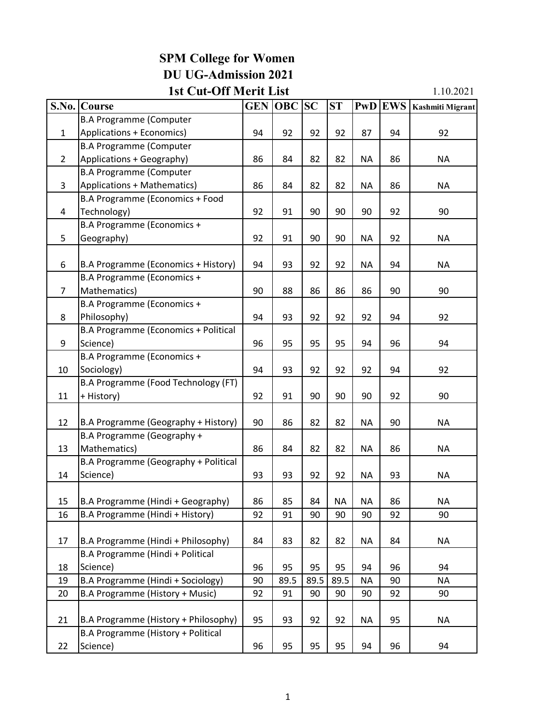## **SPM College for Women DU UG-Admission 2021**

## **1st Cut-Off Merit List**

1.10.2021

|                | S.No. Course                         | <b>GEN</b> | <b>OBC</b> | SC   | ST   | <b>PwD</b> | <b>EWS</b> | Kashmiti Migrant |
|----------------|--------------------------------------|------------|------------|------|------|------------|------------|------------------|
|                | <b>B.A Programme (Computer</b>       |            |            |      |      |            |            |                  |
| 1              | Applications + Economics)            | 94         | 92         | 92   | 92   | 87         | 94         | 92               |
|                | <b>B.A Programme (Computer</b>       |            |            |      |      |            |            |                  |
| $\overline{2}$ | Applications + Geography)            | 86         | 84         | 82   | 82   | <b>NA</b>  | 86         | <b>NA</b>        |
|                | <b>B.A Programme (Computer</b>       |            |            |      |      |            |            |                  |
| 3              | Applications + Mathematics)          | 86         | 84         | 82   | 82   | <b>NA</b>  | 86         | <b>NA</b>        |
|                | B.A Programme (Economics + Food      |            |            |      |      |            |            |                  |
| 4              | Technology)                          | 92         | 91         | 90   | 90   | 90         | 92         | 90               |
|                | B.A Programme (Economics +           |            |            |      |      |            |            |                  |
| 5              | Geography)                           | 92         | 91         | 90   | 90   | <b>NA</b>  | 92         | <b>NA</b>        |
|                |                                      |            |            |      |      |            |            |                  |
| 6              | B.A Programme (Economics + History)  | 94         | 93         | 92   | 92   | <b>NA</b>  | 94         | <b>NA</b>        |
|                | B.A Programme (Economics +           |            |            |      |      |            |            |                  |
| $\overline{7}$ | Mathematics)                         | 90         | 88         | 86   | 86   | 86         | 90         | 90               |
|                | B.A Programme (Economics +           |            |            |      |      |            |            |                  |
| 8              | Philosophy)                          | 94         | 93         | 92   | 92   | 92         | 94         | 92               |
|                | B.A Programme (Economics + Political |            |            |      |      |            |            |                  |
| 9              | Science)                             | 96         | 95         | 95   | 95   | 94         | 96         | 94               |
|                | B.A Programme (Economics +           |            |            |      |      |            |            |                  |
| 10             | Sociology)                           | 94         | 93         | 92   | 92   | 92         | 94         | 92               |
|                | B.A Programme (Food Technology (FT)  |            |            |      |      |            |            |                  |
| 11             | + History)                           | 92         | 91         | 90   | 90   | 90         | 92         | 90               |
|                |                                      |            |            |      |      |            |            |                  |
| 12             | B.A Programme (Geography + History)  | 90         | 86         | 82   | 82   | <b>NA</b>  | 90         | <b>NA</b>        |
|                | B.A Programme (Geography +           |            |            |      |      |            |            |                  |
| 13             | Mathematics)                         | 86         | 84         | 82   | 82   | <b>NA</b>  | 86         | <b>NA</b>        |
|                | B.A Programme (Geography + Political |            |            |      |      |            |            |                  |
| 14             | Science)                             | 93         | 93         | 92   | 92   | <b>NA</b>  | 93         | <b>NA</b>        |
|                |                                      |            |            |      |      |            |            |                  |
| 15             | B.A Programme (Hindi + Geography)    | 86         | 85         | 84   | ΝA   | <b>NA</b>  | 86         | <b>NA</b>        |
| 16             | B.A Programme (Hindi + History)      | 92         | 91         | 90   | 90   | 90         | 92         | 90               |
|                |                                      |            |            |      |      |            |            |                  |
| 17             | B.A Programme (Hindi + Philosophy)   | 84         | 83         | 82   | 82   | <b>NA</b>  | 84         | <b>NA</b>        |
|                | B.A Programme (Hindi + Political     |            |            |      |      |            |            |                  |
| 18             | Science)                             | 96         | 95         | 95   | 95   | 94         | 96         | 94               |
| 19             | B.A Programme (Hindi + Sociology)    | 90         | 89.5       | 89.5 | 89.5 | <b>NA</b>  | 90         | <b>NA</b>        |
| 20             | B.A Programme (History + Music)      | 92         | 91         | 90   | 90   | 90         | 92         | 90               |
|                |                                      |            |            |      |      |            |            |                  |
| 21             | B.A Programme (History + Philosophy) | 95         | 93         | 92   | 92   | <b>NA</b>  | 95         | NA               |
|                | B.A Programme (History + Political   |            |            |      |      |            |            |                  |
| 22             | Science)                             | 96         | 95         | 95   | 95   | 94         | 96         | 94               |